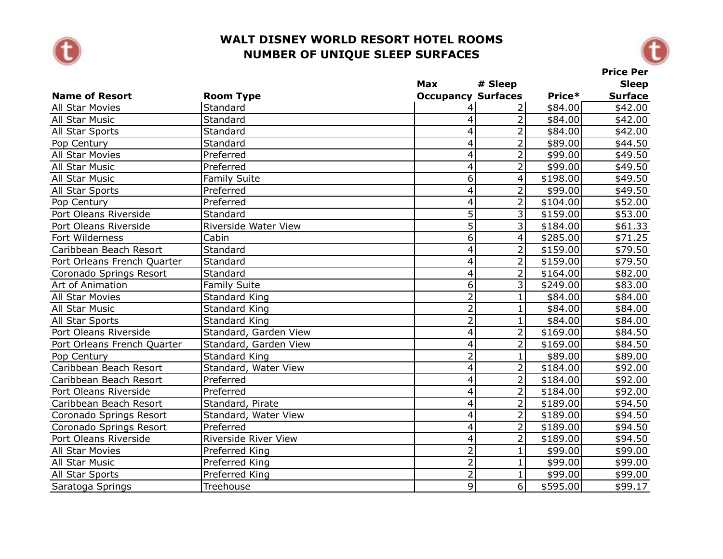



|                             |                             | <b>Max</b>                | # Sleep                 |          | <b>Sleep</b>   |
|-----------------------------|-----------------------------|---------------------------|-------------------------|----------|----------------|
| <b>Name of Resort</b>       | <b>Room Type</b>            | <b>Occupancy Surfaces</b> |                         | Price*   | <b>Surface</b> |
| <b>All Star Movies</b>      | Standard                    | 4                         | 2                       | \$84.00  | \$42.00        |
| All Star Music              | Standard                    | 4                         | $\overline{2}$          | \$84.00  | \$42.00        |
| All Star Sports             | Standard                    | 4                         | $\overline{2}$          | \$84.00  | \$42.00        |
| Pop Century                 | Standard                    | $\overline{\mathbf{4}}$   | $\overline{2}$          | \$89.00  | \$44.50        |
| All Star Movies             | Preferred                   | $\overline{\mathcal{A}}$  | $\overline{2}$          | \$99.00  | \$49.50        |
| All Star Music              | Preferred                   | $\overline{\mathbf{4}}$   | $\overline{2}$          | \$99.00  | \$49.50        |
| All Star Music              | <b>Family Suite</b>         | 6                         | 4                       | \$198.00 | \$49.50        |
| All Star Sports             | Preferred                   | $\overline{\mathbf{4}}$   | $\overline{2}$          | \$99.00  | \$49.50        |
| Pop Century                 | Preferred                   | 4                         | $\overline{2}$          | \$104.00 | \$52.00        |
| Port Oleans Riverside       | Standard                    | $\overline{5}$            | $\overline{3}$          | \$159.00 | \$53.00        |
| Port Oleans Riverside       | Riverside Water View        | $\overline{5}$            | $\overline{3}$          | \$184.00 | \$61.33        |
| Fort Wilderness             | Cabin                       | 6                         | $\overline{\mathbf{4}}$ | \$285.00 | \$71.25        |
| Caribbean Beach Resort      | Standard                    | $\overline{4}$            | $\overline{2}$          | \$159.00 | \$79.50        |
| Port Orleans French Quarter | Standard                    | $\overline{4}$            | $\overline{2}$          | \$159.00 | \$79.50        |
| Coronado Springs Resort     | Standard                    | 4                         | $\overline{2}$          | \$164.00 | \$82.00        |
| Art of Animation            | <b>Family Suite</b>         | 6                         | 3                       | \$249.00 | \$83.00        |
| All Star Movies             | <b>Standard King</b>        | $\overline{2}$            | $\mathbf{1}$            | \$84.00  | \$84.00        |
| All Star Music              | <b>Standard King</b>        | $\overline{2}$            | $\mathbf{1}$            | \$84.00  | \$84.00        |
| All Star Sports             | <b>Standard King</b>        | $\overline{2}$            | $\mathbf{1}$            | \$84.00  | \$84.00        |
| Port Oleans Riverside       | Standard, Garden View       | $\overline{\mathbf{4}}$   | $\overline{2}$          | \$169.00 | \$84.50        |
| Port Orleans French Quarter | Standard, Garden View       | $\overline{4}$            | $\overline{2}$          | \$169.00 | \$84.50        |
| Pop Century                 | <b>Standard King</b>        | $\overline{2}$            | $\mathbf{1}$            | \$89.00  | \$89.00        |
| Caribbean Beach Resort      | Standard, Water View        | $\overline{\mathbf{4}}$   | $\overline{2}$          | \$184.00 | \$92.00        |
| Caribbean Beach Resort      | Preferred                   | $\overline{\mathbf{4}}$   | $\overline{2}$          | \$184.00 | \$92.00        |
| Port Oleans Riverside       | Preferred                   | 4                         | $\overline{2}$          | \$184.00 | \$92.00        |
| Caribbean Beach Resort      | Standard, Pirate            | $\overline{\mathbf{4}}$   | $\overline{2}$          | \$189.00 | \$94.50        |
| Coronado Springs Resort     | Standard, Water View        | $\overline{\mathbf{4}}$   | $\overline{2}$          | \$189.00 | \$94.50        |
| Coronado Springs Resort     | Preferred                   | $\overline{4}$            | $\overline{2}$          | \$189.00 | \$94.50        |
| Port Oleans Riverside       | <b>Riverside River View</b> | $\overline{4}$            | $\overline{2}$          | \$189.00 | \$94.50        |
| All Star Movies             | Preferred King              | $\overline{2}$            | $\mathbf{1}$            | \$99.00  | \$99.00        |
| All Star Music              | Preferred King              | $\overline{2}$            | $\mathbf{1}$            | \$99.00  | \$99.00        |
| All Star Sports             | Preferred King              | $\overline{2}$            | $\mathbf{1}$            | \$99.00  | \$99.00        |
| Saratoga Springs            | Treehouse                   | $\overline{9}$            | $\overline{6}$          | \$595.00 | \$99.17        |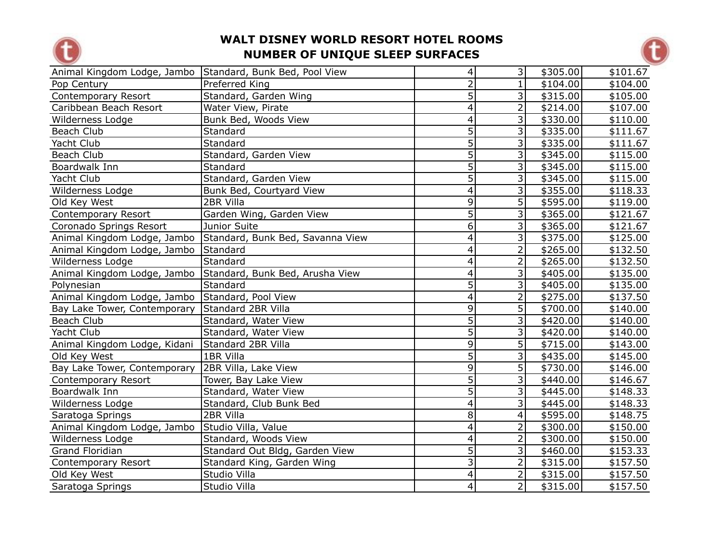



| Animal Kingdom Lodge, Jambo  | Standard, Bunk Bed, Pool View    | $\vert 4 \vert$          | $\overline{\mathbf{3}}$ | \$305.00             | \$101.67 |
|------------------------------|----------------------------------|--------------------------|-------------------------|----------------------|----------|
| Pop Century                  | Preferred King                   | $\overline{2}$           | $\mathbf{1}$            | \$104.00             | \$104.00 |
| Contemporary Resort          | Standard, Garden Wing            | $\overline{5}$           | 3                       | \$315.00             | \$105.00 |
| Caribbean Beach Resort       | Water View, Pirate               | $\overline{\mathbf{4}}$  | $\overline{2}$          | \$214.00             | \$107.00 |
| Wilderness Lodge             | Bunk Bed, Woods View             | 4                        | 3                       | \$330.00             | \$110.00 |
| Beach Club                   | Standard                         | $\overline{5}$           | 3                       | \$335.00             | \$111.67 |
| Yacht Club                   | Standard                         | $\overline{5}$           | 3                       | \$335.00             | \$111.67 |
| Beach Club                   | Standard, Garden View            | $\overline{5}$           | 3                       | \$345.00             | \$115.00 |
| Boardwalk Inn                | Standard                         | $\overline{5}$           | 3                       | \$345.00             | \$115.00 |
| Yacht Club                   | Standard, Garden View            | $\overline{5}$           | $\overline{3}$          | \$345.00             | \$115.00 |
| Wilderness Lodge             | Bunk Bed, Courtyard View         | $\overline{4}$           | $\overline{3}$          | \$355.00             | \$118.33 |
| Old Key West                 | 2BR Villa                        | 9                        | 5                       | \$595.00             | \$119.00 |
| Contemporary Resort          | Garden Wing, Garden View         | $\overline{5}$           | 3                       | \$365.00             | \$121.67 |
| Coronado Springs Resort      | Junior Suite                     | $\overline{6}$           | 3                       | \$365.00             | \$121.67 |
| Animal Kingdom Lodge, Jambo  | Standard, Bunk Bed, Savanna View | $\overline{4}$           | 3                       | \$375.00             | \$125.00 |
| Animal Kingdom Lodge, Jambo  | Standard                         | $\overline{\mathbf{4}}$  | $\overline{2}$          | \$265.00             | \$132.50 |
| Wilderness Lodge             | Standard                         | $\overline{4}$           | $\overline{2}$          | \$265.00             | \$132.50 |
| Animal Kingdom Lodge, Jambo  | Standard, Bunk Bed, Arusha View  | $\overline{4}$           | 3                       | \$405.00             | \$135.00 |
| Polynesian                   | Standard                         | 5                        | 3                       | \$405.00             | \$135.00 |
| Animal Kingdom Lodge, Jambo  | Standard, Pool View              | $\overline{4}$           | $\overline{2}$          | \$275.00             | \$137.50 |
| Bay Lake Tower, Contemporary | Standard 2BR Villa               | $\overline{9}$           | $\overline{5}$          | \$700.00             | \$140.00 |
| Beach Club                   | Standard, Water View             | $\overline{5}$           | $\overline{3}$          | $\overline{$420.00}$ | \$140.00 |
| Yacht Club                   | Standard, Water View             | $\overline{5}$           | 3                       | \$420.00             | \$140.00 |
| Animal Kingdom Lodge, Kidani | Standard 2BR Villa               | $\overline{9}$           | $\overline{5}$          | \$715.00             | \$143.00 |
| Old Key West                 | 1BR Villa                        | $\overline{5}$           | $\overline{3}$          | \$435.00             | \$145.00 |
| Bay Lake Tower, Contemporary | 2BR Villa, Lake View             | 9                        | $\overline{5}$          | \$730.00             | \$146.00 |
| Contemporary Resort          | Tower, Bay Lake View             | $\overline{5}$           | 3                       | \$440.00             | \$146.67 |
| Boardwalk Inn                | Standard, Water View             | $\overline{5}$           | 3                       | \$445.00             | \$148.33 |
| Wilderness Lodge             | Standard, Club Bunk Bed          | $\overline{4}$           | 3                       | \$445.00             | \$148.33 |
| Saratoga Springs             | 2BR Villa                        | 8                        | 4                       | \$595.00             | \$148.75 |
| Animal Kingdom Lodge, Jambo  | Studio Villa, Value              | $\overline{4}$           | $\overline{2}$          | \$300.00             | \$150.00 |
| Wilderness Lodge             | Standard, Woods View             | $\overline{\mathcal{A}}$ | $\overline{2}$          | $\frac{1}{2}300.00$  | \$150.00 |
| Grand Floridian              | Standard Out Bldg, Garden View   | $\overline{5}$           | 3                       | \$460.00             | \$153.33 |
| Contemporary Resort          | Standard King, Garden Wing       | $\overline{3}$           | $\overline{2}$          | \$315.00             | \$157.50 |
| Old Key West                 | Studio Villa                     | $\overline{\mathbf{4}}$  | $\overline{2}$          | \$315.00             | \$157.50 |
| Saratoga Springs             | Studio Villa                     | $\overline{4}$           | $\overline{2}$          | \$315.00             | \$157.50 |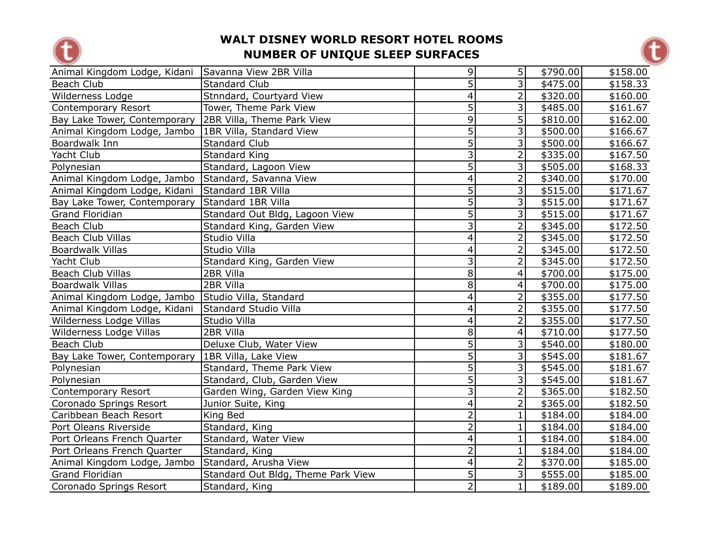



| Animal Kingdom Lodge, Kidani                       | Savanna View 2BR Villa             | $\vert 9 \vert$         | 5 <sup>1</sup>          | \$790.00 | \$158.00 |
|----------------------------------------------------|------------------------------------|-------------------------|-------------------------|----------|----------|
| Beach Club                                         | Standard Club                      | 5                       | 3                       | \$475.00 | \$158.33 |
| Wilderness Lodge                                   | Stnndard, Courtyard View           | $\overline{\mathbf{4}}$ | $\overline{2}$          | \$320.00 | \$160.00 |
| Contemporary Resort                                | Tower, Theme Park View             | 5                       | 3                       | \$485.00 | \$161.67 |
| Bay Lake Tower, Contemporary                       | 2BR Villa, Theme Park View         | 9                       | 5                       | \$810.00 | \$162.00 |
| Animal Kingdom Lodge, Jambo                        | 1BR Villa, Standard View           | $\overline{5}$          | 3                       | \$500.00 | \$166.67 |
| Boardwalk Inn                                      | <b>Standard Club</b>               | $\overline{5}$          | 3                       | \$500.00 | \$166.67 |
| Yacht Club                                         | Standard King                      | $\overline{3}$          | $\overline{2}$          | \$335.00 | \$167.50 |
| Polynesian                                         | Standard, Lagoon View              | $\overline{5}$          | لانا                    | \$505.00 | \$168.33 |
| Animal Kingdom Lodge, Jambo                        | Standard, Savanna View             | $\overline{\mathbf{4}}$ | $\overline{2}$          | \$340.00 | \$170.00 |
| Animal Kingdom Lodge, Kidani                       | Standard 1BR Villa                 | 5                       | $\overline{\mathbf{3}}$ | \$515.00 | \$171.67 |
| Bay Lake Tower, Contemporary                       | Standard 1BR Villa                 | $\overline{5}$          | 3                       | \$515.00 | \$171.67 |
| <b>Grand Floridian</b>                             | Standard Out Bldg, Lagoon View     | $\overline{5}$          | $\overline{3}$          | \$515.00 | \$171.67 |
| Beach Club                                         | Standard King, Garden View         | $\overline{3}$          | $\overline{2}$          | \$345.00 | \$172.50 |
| <b>Beach Club Villas</b>                           | Studio Villa                       | $\overline{\mathbf{4}}$ | $\overline{2}$          | \$345.00 | \$172.50 |
| <b>Boardwalk Villas</b>                            | Studio Villa                       | 4                       | $\overline{2}$          | \$345.00 | \$172.50 |
| Yacht Club                                         | Standard King, Garden View         | $\overline{3}$          | $\overline{2}$          | \$345.00 | \$172.50 |
| <b>Beach Club Villas</b>                           | 2BR Villa                          | 8                       | 4                       | \$700.00 | \$175.00 |
| <b>Boardwalk Villas</b>                            | 2BR Villa                          | 8                       | 4                       | \$700.00 | \$175.00 |
| Animal Kingdom Lodge, Jambo Studio Villa, Standard |                                    | $\overline{\mathbf{4}}$ | $\overline{2}$          | \$355.00 | \$177.50 |
| Animal Kingdom Lodge, Kidani                       | Standard Studio Villa              | $\overline{4}$          | $\overline{2}$          | \$355.00 | \$177.50 |
| Wilderness Lodge Villas                            | Studio Villa                       | $\overline{4}$          | $\overline{2}$          | \$355.00 | \$177.50 |
| Wilderness Lodge Villas                            | 2BR Villa                          | 8                       | 4                       | \$710.00 | \$177.50 |
| Beach Club                                         | Deluxe Club, Water View            | $\overline{5}$          | $\overline{\mathbf{3}}$ | \$540.00 | \$180.00 |
| Bay Lake Tower, Contemporary                       | 1BR Villa, Lake View               | $\overline{5}$          | اد                      | \$545.00 | \$181.67 |
| Polynesian                                         | Standard, Theme Park View          | $\overline{5}$          | $\overline{\mathbf{3}}$ | \$545.00 | \$181.67 |
| Polynesian                                         | Standard, Club, Garden View        | $\overline{5}$          | 3                       | \$545.00 | \$181.67 |
| Contemporary Resort                                | Garden Wing, Garden View King      | $\overline{3}$          | $\overline{2}$          | \$365.00 | \$182.50 |
| Coronado Springs Resort                            | Junior Suite, King                 | $\overline{\mathbf{4}}$ | $\overline{2}$          | \$365.00 | \$182.50 |
| Caribbean Beach Resort                             | King Bed                           | $\overline{2}$          | $\mathbf{1}$            | \$184.00 | \$184.00 |
| Port Oleans Riverside                              | Standard, King                     | $\overline{2}$          | $\mathbf{1}$            | \$184.00 | \$184.00 |
| Port Orleans French Quarter                        | Standard, Water View               | $\overline{4}$          | $\mathbf{1}$            | \$184.00 | \$184.00 |
| Port Orleans French Quarter                        | Standard, King                     | $\overline{2}$          | $\mathbf{1}$            | \$184.00 | \$184.00 |
| Animal Kingdom Lodge, Jambo                        | Standard, Arusha View              | $\overline{\mathbf{4}}$ | $\overline{2}$          | \$370.00 | \$185.00 |
| <b>Grand Floridian</b>                             | Standard Out Bldg, Theme Park View | 5                       | 3                       | \$555.00 | \$185.00 |
| Coronado Springs Resort                            | Standard, King                     | $\overline{2}$          | $\mathbf{1}$            | \$189.00 | \$189.00 |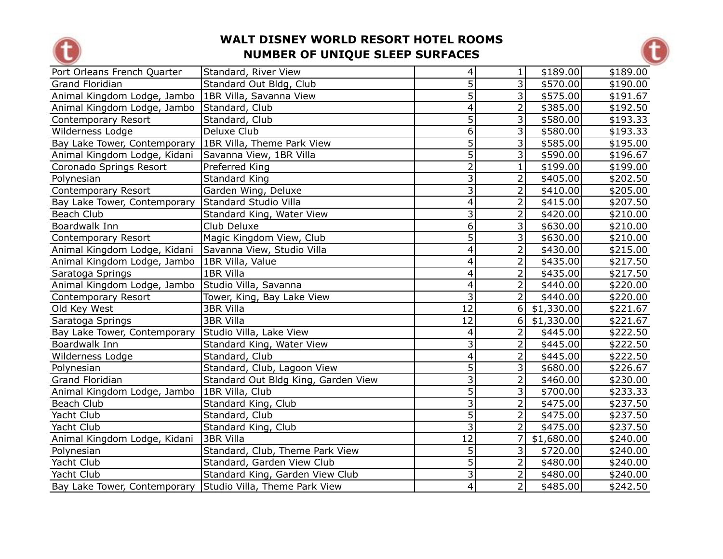



| Port Orleans French Quarter                                | Standard, River View                | 4                       | 1                       | \$189.00   | \$189.00 |
|------------------------------------------------------------|-------------------------------------|-------------------------|-------------------------|------------|----------|
| Grand Floridian                                            | Standard Out Bldg, Club             | $\overline{5}$          | $\overline{3}$          | \$570.00   | \$190.00 |
| Animal Kingdom Lodge, Jambo   1BR Villa, Savanna View      |                                     | $\overline{5}$          | $\overline{3}$          | \$575.00   | \$191.67 |
| Animal Kingdom Lodge, Jambo                                | Standard, Club                      | $\overline{4}$          | $\overline{2}$          | \$385.00   | \$192.50 |
| Contemporary Resort                                        | Standard, Club                      | 5                       | 3                       | \$580.00   | \$193.33 |
| Wilderness Lodge                                           | Deluxe Club                         | 6                       | 3                       | \$580.00   | \$193.33 |
| Bay Lake Tower, Contemporary   1BR Villa, Theme Park View  |                                     | $\overline{5}$          | $\overline{3}$          | \$585.00   | \$195.00 |
| Animal Kingdom Lodge, Kidani                               | Savanna View, 1BR Villa             | $\overline{5}$          | 3                       | \$590.00   | \$196.67 |
| Coronado Springs Resort                                    | Preferred King                      | $\overline{2}$          | $\mathbf{1}$            | \$199.00   | \$199.00 |
| Polynesian                                                 | <b>Standard King</b>                | 3                       | $\overline{2}$          | \$405.00   | \$202.50 |
| Contemporary Resort                                        | Garden Wing, Deluxe                 | $\overline{\mathbf{3}}$ | $\overline{2}$          | \$410.00   | \$205.00 |
| Bay Lake Tower, Contemporary                               | Standard Studio Villa               | $\overline{\mathbf{4}}$ | $\overline{2}$          | \$415.00   | \$207.50 |
| Beach Club                                                 | Standard King, Water View           | 3                       | $\overline{2}$          | \$420.00   | \$210.00 |
| Boardwalk Inn                                              | Club Deluxe                         | $\overline{6}$          | $\overline{3}$          | \$630.00   | \$210.00 |
| Contemporary Resort                                        | Magic Kingdom View, Club            | $\overline{5}$          | $\overline{\mathbf{3}}$ | \$630.00   | \$210.00 |
| Animal Kingdom Lodge, Kidani                               | Savanna View, Studio Villa          | $\overline{\mathbf{4}}$ | $\overline{2}$          | \$430.00   | \$215.00 |
| Animal Kingdom Lodge, Jambo                                | 1BR Villa, Value                    | 4                       | $\overline{2}$          | \$435.00   | \$217.50 |
| Saratoga Springs                                           | 1BR Villa                           | $\overline{\mathbf{4}}$ | $\overline{2}$          | \$435.00   | \$217.50 |
| Animal Kingdom Lodge, Jambo                                | Studio Villa, Savanna               | $\overline{\mathbf{4}}$ | $\overline{2}$          | \$440.00   | \$220.00 |
| Contemporary Resort                                        | Tower, King, Bay Lake View          | 3                       | $\overline{2}$          | \$440.00   | \$220.00 |
| Old Key West                                               | 3BR Villa                           | $\overline{12}$         | $6\vert$                | \$1,330.00 | \$221.67 |
| Saratoga Springs                                           | 3BR Villa                           | 12                      | $6\vert$                | \$1,330.00 | \$221.67 |
| Bay Lake Tower, Contemporary                               | Studio Villa, Lake View             | 4                       | $\overline{2}$          | \$445.00   | \$222.50 |
| Boardwalk Inn                                              | Standard King, Water View           | $\overline{3}$          | $\overline{2}$          | \$445.00   | \$222.50 |
| Wilderness Lodge                                           | Standard, Club                      | $\overline{\mathbf{4}}$ | $\overline{2}$          | \$445.00   | \$222.50 |
| Polynesian                                                 | Standard, Club, Lagoon View         | 5                       | $\overline{3}$          | \$680.00   | \$226.67 |
| Grand Floridian                                            | Standard Out Bldg King, Garden View | $\overline{3}$          | $\overline{2}$          | \$460.00   | \$230.00 |
| Animal Kingdom Lodge, Jambo                                | 1BR Villa, Club                     | $\overline{5}$          | $\overline{3}$          | \$700.00   | \$233.33 |
| Beach Club                                                 | Standard King, Club                 | $\overline{3}$          | $\overline{2}$          | \$475.00   | \$237.50 |
| Yacht Club                                                 | Standard, Club                      | $\overline{5}$          | $\overline{2}$          | \$475.00   | \$237.50 |
| Yacht Club                                                 | Standard King, Club                 | $\overline{3}$          | $\overline{2}$          | \$475.00   | \$237.50 |
| Animal Kingdom Lodge, Kidani                               | 3BR Villa                           | $\overline{12}$         | 7                       | \$1,680.00 | \$240.00 |
| Polynesian                                                 | Standard, Club, Theme Park View     | 5                       | 3                       | \$720.00   | \$240.00 |
| Yacht Club                                                 | Standard, Garden View Club          | $\overline{5}$          | $\overline{2}$          | \$480.00   | \$240.00 |
| Yacht Club                                                 | Standard King, Garden View Club     | $\overline{3}$          | $\overline{2}$          | \$480.00   | \$240.00 |
| Bay Lake Tower, Contemporary Studio Villa, Theme Park View |                                     | $\vert 4 \vert$         | $\overline{2}$          | \$485.00   | \$242.50 |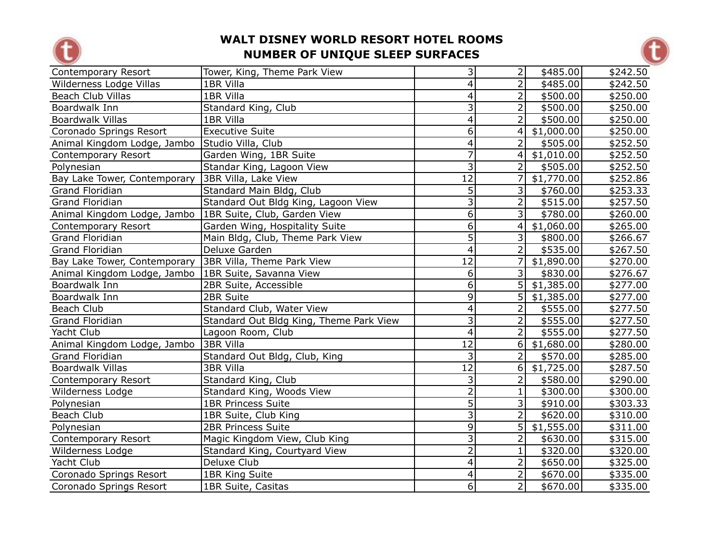



| Contemporary Resort          | Tower, King, Theme Park View            | $\overline{\mathbf{3}}$ | 2                        | \$485.00   | \$242.50 |
|------------------------------|-----------------------------------------|-------------------------|--------------------------|------------|----------|
| Wilderness Lodge Villas      | 1BR Villa                               | $\overline{\mathbf{4}}$ | $\overline{2}$           | \$485.00   | \$242.50 |
| Beach Club Villas            | 1BR Villa                               | 4                       | $\overline{2}$           | \$500.00   | \$250.00 |
| Boardwalk Inn                | Standard King, Club                     | $\overline{3}$          | $\overline{2}$           | \$500.00   | \$250.00 |
| <b>Boardwalk Villas</b>      | 1BR Villa                               | 4                       | $\overline{2}$           | \$500.00   | \$250.00 |
| Coronado Springs Resort      | <b>Executive Suite</b>                  | 6                       | $\overline{\mathcal{A}}$ | \$1,000.00 | \$250.00 |
| Animal Kingdom Lodge, Jambo  | Studio Villa, Club                      | $\overline{4}$          | $\overline{2}$           | \$505.00   | \$252.50 |
| Contemporary Resort          | Garden Wing, 1BR Suite                  | 7                       | $\overline{4}$           | \$1,010.00 | \$252.50 |
| Polynesian                   | Standar King, Lagoon View               | $\overline{3}$          | $\overline{2}$           | \$505.00   | \$252.50 |
| Bay Lake Tower, Contemporary | 3BR Villa, Lake View                    | $\overline{12}$         | 7                        | \$1,770.00 | \$252.86 |
| Grand Floridian              | Standard Main Bldg, Club                | 5                       | 3                        | \$760.00   | \$253.33 |
| <b>Grand Floridian</b>       | Standard Out Bldg King, Lagoon View     | $\overline{3}$          | $\overline{2}$           | \$515.00   | \$257.50 |
| Animal Kingdom Lodge, Jambo  | 1BR Suite, Club, Garden View            | $\overline{6}$          | 3                        | \$780.00   | \$260.00 |
| Contemporary Resort          | Garden Wing, Hospitality Suite          | $\overline{6}$          | 4                        | \$1,060.00 | \$265.00 |
| Grand Floridian              | Main Bldg, Club, Theme Park View        | $\overline{5}$          | 3                        | \$800.00   | \$266.67 |
| Grand Floridian              | Deluxe Garden                           | $\overline{4}$          | $\overline{2}$           | \$535.00   | \$267.50 |
| Bay Lake Tower, Contemporary | 3BR Villa, Theme Park View              | 12                      | 7                        | \$1,890.00 | \$270.00 |
| Animal Kingdom Lodge, Jambo  | 1BR Suite, Savanna View                 | 6                       | $\overline{3}$           | \$830.00   | \$276.67 |
| Boardwalk Inn                | 2BR Suite, Accessible                   | 6                       | 5 <sup>1</sup>           | \$1,385.00 | \$277.00 |
| Boardwalk Inn                | 2BR Suite                               | $\overline{9}$          | 5                        | \$1,385.00 | \$277.00 |
| Beach Club                   | Standard Club, Water View               | $\overline{4}$          | $\overline{2}$           | \$555.00   | \$277.50 |
| <b>Grand Floridian</b>       | Standard Out Bldg King, Theme Park View | $\overline{3}$          | $\overline{2}$           | \$555.00   | \$277.50 |
| Yacht Club                   | Lagoon Room, Club                       | $\overline{4}$          | $\overline{2}$           | \$555.00   | \$277.50 |
| Animal Kingdom Lodge, Jambo  | <b>3BR Villa</b>                        | $\overline{12}$         | 6                        | \$1,680.00 | \$280.00 |
| <b>Grand Floridian</b>       | Standard Out Bldg, Club, King           | 3                       | $\overline{2}$           | \$570.00   | \$285.00 |
| <b>Boardwalk Villas</b>      | 3BR Villa                               | $\overline{12}$         | 6                        | \$1,725.00 | \$287.50 |
| Contemporary Resort          | Standard King, Club                     | $\overline{3}$          | $\overline{2}$           | \$580.00   | \$290.00 |
| Wilderness Lodge             | Standard King, Woods View               | $\overline{2}$          | $\mathbf{1}$             | \$300.00   | \$300.00 |
| Polynesian                   | <b>1BR Princess Suite</b>               | $\overline{5}$          | 3                        | \$910.00   | \$303.33 |
| Beach Club                   | 1BR Suite, Club King                    | $\overline{3}$          | $\overline{2}$           | \$620.00   | \$310.00 |
| Polynesian                   | <b>2BR Princess Suite</b>               | 9                       | 5                        | \$1,555.00 | \$311.00 |
| Contemporary Resort          | Magic Kingdom View, Club King           | $\overline{3}$          | $\overline{2}$           | \$630.00   | \$315.00 |
| Wilderness Lodge             | Standard King, Courtyard View           | $\overline{2}$          | $\mathbf{1}$             | \$320.00   | \$320.00 |
| Yacht Club                   | Deluxe Club                             | $\overline{4}$          | $\overline{2}$           | \$650.00   | \$325.00 |
| Coronado Springs Resort      | 1BR King Suite                          | $\overline{4}$          | $\overline{2}$           | \$670.00   | \$335.00 |
| Coronado Springs Resort      | 1BR Suite, Casitas                      | 6 <sup>1</sup>          | $\overline{2}$           | \$670.00   | \$335.00 |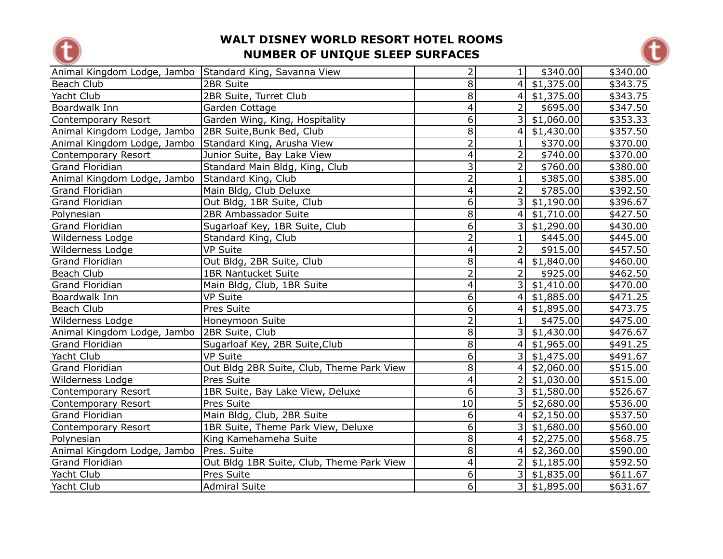



| Animal Kingdom Lodge, Jambo Standard King, Savanna View |                                           | $\overline{2}$          | 1                       | \$340.00         | \$340.00 |
|---------------------------------------------------------|-------------------------------------------|-------------------------|-------------------------|------------------|----------|
| Beach Club                                              | 2BR Suite                                 | 8                       | 4 <sup>1</sup>          | \$1,375.00       | \$343.75 |
| Yacht Club                                              | 2BR Suite, Turret Club                    | 8                       |                         | $4$ \$1,375.00   | \$343.75 |
| Boardwalk Inn                                           | Garden Cottage                            | 4                       | $\overline{2}$          | \$695.00         | \$347.50 |
| Contemporary Resort                                     | Garden Wing, King, Hospitality            | 6                       | $\overline{\mathsf{3}}$ | \$1,060.00       | \$353.33 |
| Animal Kingdom Lodge, Jambo   2BR Suite, Bunk Bed, Club |                                           | $\overline{8}$          | 4                       | \$1,430.00       | \$357.50 |
| Animal Kingdom Lodge, Jambo                             | Standard King, Arusha View                | $\overline{2}$          | 1                       | \$370.00         | \$370.00 |
| Contemporary Resort                                     | Junior Suite, Bay Lake View               | 4                       | $\overline{2}$          | \$740.00         | \$370.00 |
| Grand Floridian                                         | Standard Main Bldg, King, Club            | $\overline{\mathbf{3}}$ | $\overline{2}$          | \$760.00         | \$380.00 |
| Animal Kingdom Lodge, Jambo                             | Standard King, Club                       | $\overline{2}$          | $\overline{1}$          | \$385.00         | \$385.00 |
| <b>Grand Floridian</b>                                  | Main Bldg, Club Deluxe                    | $\overline{\mathbf{4}}$ | $\overline{2}$          | \$785.00         | \$392.50 |
| <b>Grand Floridian</b>                                  | Out Bldg, 1BR Suite, Club                 | $\overline{6}$          | $\overline{\mathsf{3}}$ | \$1,190.00       | \$396.67 |
| Polynesian                                              | 2BR Ambassador Suite                      | $\overline{8}$          | 4                       | \$1,710.00       | \$427.50 |
| <b>Grand Floridian</b>                                  | Sugarloaf Key, 1BR Suite, Club            | $\overline{6}$          | $\overline{\mathsf{3}}$ | \$1,290.00       | \$430.00 |
| Wilderness Lodge                                        | Standard King, Club                       | $\overline{2}$          | 1                       | \$445.00         | \$445.00 |
| Wilderness Lodge                                        | <b>VP Suite</b>                           | 4                       | $\overline{2}$          | \$915.00         | \$457.50 |
| Grand Floridian                                         | Out Bldg, 2BR Suite, Club                 | $\overline{8}$          |                         | $4$ \$1,840.00   | \$460.00 |
| Beach Club                                              | <b>1BR Nantucket Suite</b>                | $\overline{2}$          | $\overline{2}$          | \$925.00         | \$462.50 |
| <b>Grand Floridian</b>                                  | Main Bldg, Club, 1BR Suite                | 4                       |                         | $3 $ \$1,410.00  | \$470.00 |
| Boardwalk Inn                                           | <b>VP Suite</b>                           | 6                       |                         | $4$ \$1,885.00   | \$471.25 |
| Beach Club                                              | Pres Suite                                | $\overline{6}$          | 4 <sup>1</sup>          | \$1,895.00       | \$473.75 |
| Wilderness Lodge                                        | Honeymoon Suite                           | $\overline{2}$          | $\overline{1}$          | \$475.00         | \$475.00 |
| Animal Kingdom Lodge, Jambo                             | 2BR Suite, Club                           | 8                       |                         | $3 $ \$1,430.00  | \$476.67 |
| Grand Floridian                                         | Sugarloaf Key, 2BR Suite, Club            | 8                       |                         | $4$ \$1,965.00   | \$491.25 |
| Yacht Club                                              | <b>VP Suite</b>                           | $\overline{6}$          |                         | 3   \$1,475.00   | \$491.67 |
| <b>Grand Floridian</b>                                  | Out Bldg 2BR Suite, Club, Theme Park View | $\overline{8}$          |                         | $4$ \$2,060.00   | \$515.00 |
| Wilderness Lodge                                        | Pres Suite                                | $\overline{\mathbf{4}}$ | $\overline{2}$          | \$1,030.00       | \$515.00 |
| Contemporary Resort                                     | 1BR Suite, Bay Lake View, Deluxe          | $\overline{6}$          |                         | 3   \$1,580.00   | \$526.67 |
| Contemporary Resort                                     | Pres Suite                                | 10                      |                         | $5$   \$2,680.00 | \$536.00 |
| Grand Floridian                                         | Main Bldg, Club, 2BR Suite                | 6 <sup>1</sup>          | $\vert$                 | \$2,150.00       | \$537.50 |
| Contemporary Resort                                     | 1BR Suite, Theme Park View, Deluxe        | 6 <sup>1</sup>          |                         | $3 $ \$1,680.00  | \$560.00 |
| Polynesian                                              | King Kamehameha Suite                     | $\overline{8}$          |                         | $4 $ \$2,275.00  | \$568.75 |
| Animal Kingdom Lodge, Jambo                             | Pres. Suite                               | 8                       |                         | 4  \$2,360.00    | \$590.00 |
| Grand Floridian                                         | Out Bldg 1BR Suite, Club, Theme Park View | 4                       | $\overline{2}$          | \$1,185.00       | \$592.50 |
| Yacht Club                                              | Pres Suite                                | 6                       |                         | 3   \$1,835.00   | \$611.67 |
| Yacht Club                                              | <b>Admiral Suite</b>                      | $\overline{6}$          |                         | 3   \$1,895.00   | \$631.67 |